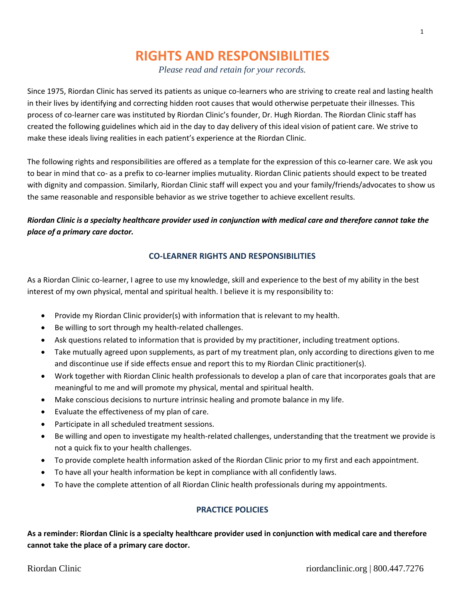# **RIGHTS AND RESPONSIBILITIES**

*Please read and retain for your records.*

Since 1975, Riordan Clinic has served its patients as unique co-learners who are striving to create real and lasting health in their lives by identifying and correcting hidden root causes that would otherwise perpetuate their illnesses. This process of co-learner care was instituted by Riordan Clinic's founder, Dr. Hugh Riordan. The Riordan Clinic staff has created the following guidelines which aid in the day to day delivery of this ideal vision of patient care. We strive to make these ideals living realities in each patient's experience at the Riordan Clinic.

The following rights and responsibilities are offered as a template for the expression of this co-learner care. We ask you to bear in mind that co- as a prefix to co-learner implies mutuality. Riordan Clinic patients should expect to be treated with dignity and compassion. Similarly, Riordan Clinic staff will expect you and your family/friends/advocates to show us the same reasonable and responsible behavior as we strive together to achieve excellent results.

# *Riordan Clinic is a specialty healthcare provider used in conjunction with medical care and therefore cannot take the place of a primary care doctor.*

## **CO-LEARNER RIGHTS AND RESPONSIBILITIES**

As a Riordan Clinic co-learner, I agree to use my knowledge, skill and experience to the best of my ability in the best interest of my own physical, mental and spiritual health. I believe it is my responsibility to:

- Provide my Riordan Clinic provider(s) with information that is relevant to my health.
- Be willing to sort through my health-related challenges.
- Ask questions related to information that is provided by my practitioner, including treatment options.
- Take mutually agreed upon supplements, as part of my treatment plan, only according to directions given to me and discontinue use if side effects ensue and report this to my Riordan Clinic practitioner(s).
- Work together with Riordan Clinic health professionals to develop a plan of care that incorporates goals that are meaningful to me and will promote my physical, mental and spiritual health.
- Make conscious decisions to nurture intrinsic healing and promote balance in my life.
- Evaluate the effectiveness of my plan of care.
- Participate in all scheduled treatment sessions.
- Be willing and open to investigate my health-related challenges, understanding that the treatment we provide is not a quick fix to your health challenges.
- To provide complete health information asked of the Riordan Clinic prior to my first and each appointment.
- To have all your health information be kept in compliance with all confidently laws.
- To have the complete attention of all Riordan Clinic health professionals during my appointments.

### **PRACTICE POLICIES**

**As a reminder: Riordan Clinic is a specialty healthcare provider used in conjunction with medical care and therefore cannot take the place of a primary care doctor.**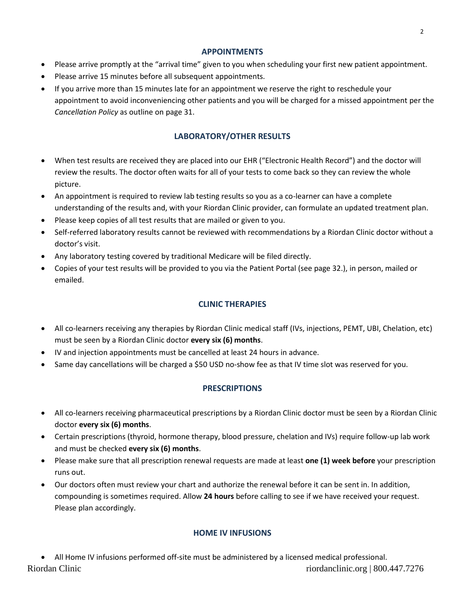### **APPOINTMENTS**

- Please arrive promptly at the "arrival time" given to you when scheduling your first new patient appointment.
- Please arrive 15 minutes before all subsequent appointments.
- If you arrive more than 15 minutes late for an appointment we reserve the right to reschedule your appointment to avoid inconveniencing other patients and you will be charged for a missed appointment per the *Cancellation Policy* as outline on page 31.

# **LABORATORY/OTHER RESULTS**

- When test results are received they are placed into our EHR ("Electronic Health Record") and the doctor will review the results. The doctor often waits for all of your tests to come back so they can review the whole picture.
- An appointment is required to review lab testing results so you as a co-learner can have a complete understanding of the results and, with your Riordan Clinic provider, can formulate an updated treatment plan.
- Please keep copies of all test results that are mailed or given to you.
- Self-referred laboratory results cannot be reviewed with recommendations by a Riordan Clinic doctor without a doctor's visit.
- Any laboratory testing covered by traditional Medicare will be filed directly.
- Copies of your test results will be provided to you via the Patient Portal (see page 32.), in person, mailed or emailed.

# **CLINIC THERAPIES**

- All co-learners receiving any therapies by Riordan Clinic medical staff (IVs, injections, PEMT, UBI, Chelation, etc) must be seen by a Riordan Clinic doctor **every six (6) months**.
- IV and injection appointments must be cancelled at least 24 hours in advance.
- Same day cancellations will be charged a \$50 USD no-show fee as that IV time slot was reserved for you.

# **PRESCRIPTIONS**

- All co-learners receiving pharmaceutical prescriptions by a Riordan Clinic doctor must be seen by a Riordan Clinic doctor **every six (6) months**.
- Certain prescriptions (thyroid, hormone therapy, blood pressure, chelation and IVs) require follow-up lab work and must be checked **every six (6) months**.
- Please make sure that all prescription renewal requests are made at least **one (1) week before** your prescription runs out.
- Our doctors often must review your chart and authorize the renewal before it can be sent in. In addition, compounding is sometimes required. Allow **24 hours** before calling to see if we have received your request. Please plan accordingly.

# **HOME IV INFUSIONS**

Riordan Clinic riordanclinic.org | 800.447.7276 All Home IV infusions performed off-site must be administered by a licensed medical professional.